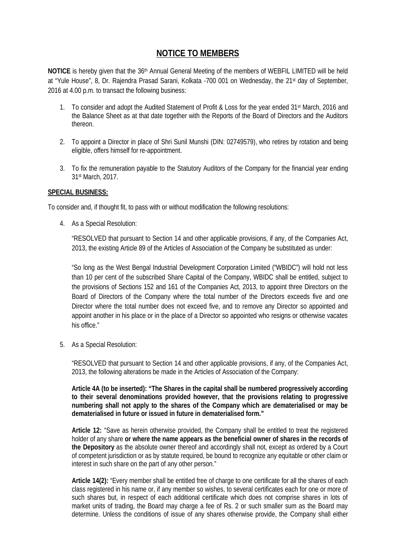# **NOTICE TO MEMBERS**

NOTICE is hereby given that the 36<sup>th</sup> Annual General Meeting of the members of WEBFIL LIMITED will be held at "Yule House", 8, Dr. Rajendra Prasad Sarani, Kolkata -700 001 on Wednesday, the 21<sup>st</sup> day of September, 2016 at 4.00 p.m. to transact the following business:

- 1. To consider and adopt the Audited Statement of Profit & Loss for the year ended 31st March, 2016 and the Balance Sheet as at that date together with the Reports of the Board of Directors and the Auditors thereon.
- 2. To appoint a Director in place of Shri Sunil Munshi (DIN: 02749579), who retires by rotation and being eligible, offers himself for re-appointment.
- 3. To fix the remuneration payable to the Statutory Auditors of the Company for the financial year ending 31st March, 2017.

## **SPECIAL BUSINESS:**

To consider and, if thought fit, to pass with or without modification the following resolutions:

4. As a Special Resolution:

"RESOLVED that pursuant to Section 14 and other applicable provisions, if any, of the Companies Act, 2013, the existing Article 89 of the Articles of Association of the Company be substituted as under:

"So long as the West Bengal Industrial Development Corporation Limited ("WBIDC") will hold not less than 10 per cent of the subscribed Share Capital of the Company, WBIDC shall be entitled, subject to the provisions of Sections 152 and 161 of the Companies Act, 2013, to appoint three Directors on the Board of Directors of the Company where the total number of the Directors exceeds five and one Director where the total number does not exceed five, and to remove any Director so appointed and appoint another in his place or in the place of a Director so appointed who resigns or otherwise vacates his office."

5. As a Special Resolution:

"RESOLVED that pursuant to Section 14 and other applicable provisions, if any, of the Companies Act, 2013, the following alterations be made in the Articles of Association of the Company:

**Article 4A (to be inserted): "The Shares in the capital shall be numbered progressively according to their several denominations provided however, that the provisions relating to progressive numbering shall not apply to the shares of the Company which are dematerialised or may be dematerialised in future or issued in future in dematerialised form."**

**Article 12:** "Save as herein otherwise provided, the Company shall be entitled to treat the registered holder of any share **or where the name appears as the beneficial owner of shares in the records of the Depository** as the absolute owner thereof and accordingly shall not, except as ordered by a Court of competent jurisdiction or as by statute required, be bound to recognize any equitable or other claim or interest in such share on the part of any other person."

**Article 14(2):** "Every member shall be entitled free of charge to one certificate for all the shares of each class registered in his name or, if any member so wishes, to several certificates each for one or more of such shares but, in respect of each additional certificate which does not comprise shares in lots of market units of trading, the Board may charge a fee of Rs. 2 or such smaller sum as the Board may determine. Unless the conditions of issue of any shares otherwise provide, the Company shall either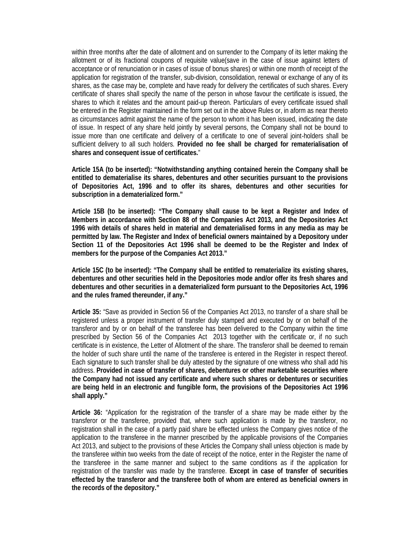within three months after the date of allotment and on surrender to the Company of its letter making the allotment or of its fractional coupons of requisite value(save in the case of issue against letters of acceptance or of renunciation or in cases of issue of bonus shares) or within one month of receipt of the application for registration of the transfer, sub-division, consolidation, renewal or exchange of any of its shares, as the case may be, complete and have ready for delivery the certificates of such shares. Every certificate of shares shall specify the name of the person in whose favour the certificate is issued, the shares to which it relates and the amount paid-up thereon. Particulars of every certificate issued shall be entered in the Register maintained in the form set out in the above Rules or, in aform as near thereto as circumstances admit against the name of the person to whom it has been issued, indicating the date of issue. In respect of any share held jointly by several persons, the Company shall not be bound to issue more than one certificate and delivery of a certificate to one of several joint-holders shall be sufficient delivery to all such holders. **Provided no fee shall be charged for rematerialisation of shares and consequent issue of certificates.**"

**Article 15A (to be inserted): "Notwithstanding anything contained herein the Company shall be entitled to dematerialise its shares, debentures and other securities pursuant to the provisions of Depositories Act, 1996 and to offer its shares, debentures and other securities for subscription in a dematerialized form."**

**Article 15B (to be inserted): "The Company shall cause to be kept a Register and Index of Members in accordance with Section 88 of the Companies Act 2013, and the Depositories Act 1996 with details of shares held in material and dematerialised forms in any media as may be permitted by law. The Register and Index of beneficial owners maintained by a Depository under Section 11 of the Depositories Act 1996 shall be deemed to be the Register and Index of members for the purpose of the Companies Act 2013."**

**Article 15C (to be inserted): "The Company shall be entitled to rematerialize its existing shares, debentures and other securities held in the Depositories mode and/or offer its fresh shares and debentures and other securities in a dematerialized form pursuant to the Depositories Act, 1996 and the rules framed thereunder, if any."**

**Article 35:** "Save as provided in Section 56 of the Companies Act 2013, no transfer of a share shall be registered unless a proper instrument of transfer duly stamped and executed by or on behalf of the transferor and by or on behalf of the transferee has been delivered to the Company within the time prescribed by Section 56 of the Companies Act 2013 together with the certificate or, if no such certificate is in existence, the Letter of Allotment of the share. The transferor shall be deemed to remain the holder of such share until the name of the transferee is entered in the Register in respect thereof. Each signature to such transfer shall be duly attested by the signature of one witness who shall add his address. **Provided in case of transfer of shares, debentures or other marketable securities where the Company had not issued any certificate and where such shares or debentures or securities are being held in an electronic and fungible form, the provisions of the Depositories Act 1996 shall apply."**

**Article 36:** "Application for the registration of the transfer of a share may be made either by the transferor or the transferee, provided that, where such application is made by the transferor, no registration shall in the case of a partly paid share be effected unless the Company gives notice of the application to the transferee in the manner prescribed by the applicable provisions of the Companies Act 2013, and subject to the provisions of these Articles the Company shall unless objection is made by the transferee within two weeks from the date of receipt of the notice, enter in the Register the name of the transferee in the same manner and subject to the same conditions as if the application for registration of the transfer was made by the transferee. **Except in case of transfer of securities effected by the transferor and the transferee both of whom are entered as beneficial owners in the records of the depository."**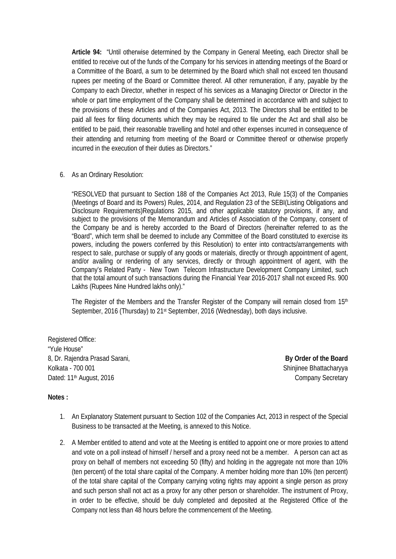**Article 94:** "Until otherwise determined by the Company in General Meeting, each Director shall be entitled to receive out of the funds of the Company for his services in attending meetings of the Board or a Committee of the Board, a sum to be determined by the Board which shall not exceed ten thousand rupees per meeting of the Board or Committee thereof. All other remuneration, if any, payable by the Company to each Director, whether in respect of his services as a Managing Director or Director in the whole or part time employment of the Company shall be determined in accordance with and subject to the provisions of these Articles and of the Companies Act, 2013. The Directors shall be entitled to be paid all fees for filing documents which they may be required to file under the Act and shall also be entitled to be paid, their reasonable travelling and hotel and other expenses incurred in consequence of their attending and returning from meeting of the Board or Committee thereof or otherwise properly incurred in the execution of their duties as Directors."

## 6. As an Ordinary Resolution:

"RESOLVED that pursuant to Section 188 of the Companies Act 2013, Rule 15(3) of the Companies (Meetings of Board and its Powers) Rules, 2014, and Regulation 23 of the SEBI(Listing Obligations and Disclosure Requirements)Regulations 2015, and other applicable statutory provisions, if any, and subject to the provisions of the Memorandum and Articles of Association of the Company, consent of the Company be and is hereby accorded to the Board of Directors (hereinafter referred to as the "Board", which term shall be deemed to include any Committee of the Board constituted to exercise its powers, including the powers conferred by this Resolution) to enter into contracts/arrangements with respect to sale, purchase or supply of any goods or materials, directly or through appointment of agent, and/or availing or rendering of any services, directly or through appointment of agent, with the Company's Related Party - New Town Telecom Infrastructure Development Company Limited, such that the total amount of such transactions during the Financial Year 2016-2017 shall not exceed Rs. 900 Lakhs (Rupees Nine Hundred lakhs only)."

The Register of the Members and the Transfer Register of the Company will remain closed from 15<sup>th</sup> September, 2016 (Thursday) to 21<sup>st</sup> September, 2016 (Wednesday), both days inclusive.

Registered Office: "Yule House" 8, Dr. Rajendra Prasad Sarani, **By Order of the Board** Kolkata - 700 001 Shinjinee Bhattacharyya Dated: 11<sup>th</sup> August, 2016 **Company Secretary** Company Secretary

**Notes :**

- 1. An Explanatory Statement pursuant to Section 102 of the Companies Act, 2013 in respect of the Special Business to be transacted at the Meeting, is annexed to this Notice.
- 2. A Member entitled to attend and vote at the Meeting is entitled to appoint one or more proxies to attend and vote on a poll instead of himself / herself and a proxy need not be a member. A person can act as proxy on behalf of members not exceeding 50 (fifty) and holding in the aggregate not more than 10% (ten percent) of the total share capital of the Company. A member holding more than 10% (ten percent) of the total share capital of the Company carrying voting rights may appoint a single person as proxy and such person shall not act as a proxy for any other person or shareholder. The instrument of Proxy, in order to be effective, should be duly completed and deposited at the Registered Office of the Company not less than 48 hours before the commencement of the Meeting.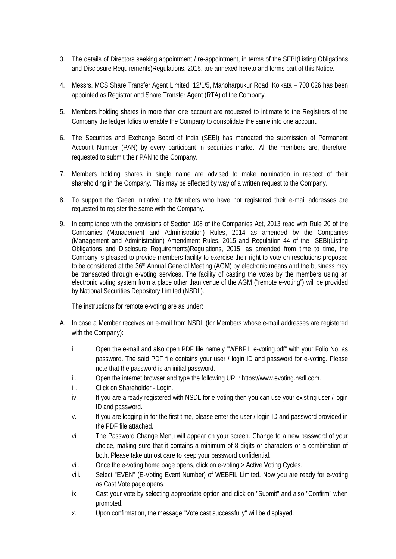- 3. The details of Directors seeking appointment / re-appointment, in terms of the SEBI(Listing Obligations and Disclosure Requirements)Regulations, 2015, are annexed hereto and forms part of this Notice.
- 4. Messrs. MCS Share Transfer Agent Limited, 12/1/5, Manoharpukur Road, Kolkata 700 026 has been appointed as Registrar and Share Transfer Agent (RTA) of the Company.
- 5. Members holding shares in more than one account are requested to intimate to the Registrars of the Company the ledger folios to enable the Company to consolidate the same into one account.
- 6. The Securities and Exchange Board of India (SEBI) has mandated the submission of Permanent Account Number (PAN) by every participant in securities market. All the members are, therefore, requested to submit their PAN to the Company.
- 7. Members holding shares in single name are advised to make nomination in respect of their shareholding in the Company. This may be effected by way of a written request to the Company.
- 8. To support the 'Green Initiative' the Members who have not registered their e-mail addresses are requested to register the same with the Company.
- 9. In compliance with the provisions of Section 108 of the Companies Act, 2013 read with Rule 20 of the Companies (Management and Administration) Rules, 2014 as amended by the Companies (Management and Administration) Amendment Rules, 2015 and Regulation 44 of the SEBI(Listing Obligations and Disclosure Requirements)Regulations, 2015, as amended from time to time, the Company is pleased to provide members facility to exercise their right to vote on resolutions proposed to be considered at the 36<sup>th</sup> Annual General Meeting (AGM) by electronic means and the business may be transacted through e-voting services. The facility of casting the votes by the members using an electronic voting system from a place other than venue of the AGM ("remote e-voting") will be provided by National Securities Depository Limited (NSDL).

The instructions for remote e-voting are as under:

- A. In case a Member receives an e-mail from NSDL (for Members whose e-mail addresses are registered with the Company):
	- i. Open the e-mail and also open PDF file namely "WEBFIL e-voting.pdf" with your Folio No. as password. The said PDF file contains your user / login ID and password for e-voting. Please note that the password is an initial password.
	- ii. Open the internet browser and type the following URL: https://www.evoting.nsdl.com.
	- iii. Click on Shareholder Login.
	- iv. If you are already registered with NSDL for e-voting then you can use your existing user / login ID and password.
	- v. If you are logging in for the first time, please enter the user / login ID and password provided in the PDF file attached.
	- vi. The Password Change Menu will appear on your screen. Change to a new password of your choice, making sure that it contains a minimum of 8 digits or characters or a combination of both. Please take utmost care to keep your password confidential.
	- vii. Once the e-voting home page opens, click on e-voting > Active Voting Cycles.
	- viii. Select "EVEN" (E-Voting Event Number) of WEBFIL Limited. Now you are ready for e-voting as Cast Vote page opens.
	- ix. Cast your vote by selecting appropriate option and click on "Submit" and also "Confirm" when prompted.
	- x. Upon confirmation, the message "Vote cast successfully" will be displayed.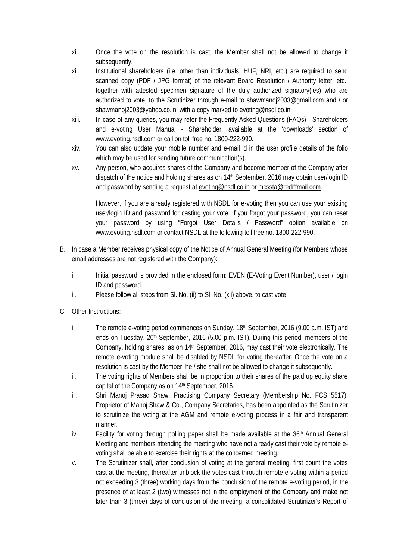- xi. Once the vote on the resolution is cast, the Member shall not be allowed to change it subsequently.
- xii. Institutional shareholders (i.e. other than individuals, HUF, NRI, etc.) are required to send scanned copy (PDF / JPG format) of the relevant Board Resolution / Authority letter, etc., together with attested specimen signature of the duly authorized signatory(ies) who are authorized to vote, to the Scrutinizer through e-mail to shawmanoj2003@gmail.com and / or shawmanoj2003@yahoo.co.in, with a copy marked to evoting@nsdl.co.in.
- xiii. In case of any queries, you may refer the Frequently Asked Questions (FAQs) Shareholders and e-voting User Manual - Shareholder, available at the 'downloads' section of www.evoting.nsdl.com or call on toll free no. 1800-222-990.
- xiv. You can also update your mobile number and e-mail id in the user profile details of the folio which may be used for sending future communication(s).
- xv. Any person, who acquires shares of the Company and become member of the Company after dispatch of the notice and holding shares as on 14<sup>th</sup> September, 2016 may obtain user/login ID and password by sending a request at evoting@nsdl.co.in or mcssta@rediffmail.com.

However, if you are already registered with NSDL for e-voting then you can use your existing user/login ID and password for casting your vote. If you forgot your password, you can reset your password by using "Forgot User Details / Password" option available on www.evoting.nsdl.com or contact NSDL at the following toll free no. 1800-222-990.

- B. In case a Member receives physical copy of the Notice of Annual General Meeting (for Members whose email addresses are not registered with the Company):
	- i. Initial password is provided in the enclosed form: EVEN (E-Voting Event Number), user / login ID and password.
	- ii. Please follow all steps from Sl. No. (ii) to Sl. No. (xii) above, to cast vote.
- C. Other Instructions:
	- i. The remote e-voting period commences on Sunday,  $18<sup>th</sup>$  September, 2016 (9.00 a.m. IST) and ends on Tuesday, 20<sup>th</sup> September, 2016 (5.00 p.m. IST). During this period, members of the Company, holding shares, as on 14<sup>th</sup> September, 2016, may cast their vote electronically. The remote e-voting module shall be disabled by NSDL for voting thereafter. Once the vote on a resolution is cast by the Member, he / she shall not be allowed to change it subsequently.
	- ii. The voting rights of Members shall be in proportion to their shares of the paid up equity share capital of the Company as on 14 th September, 2016.
	- iii. Shri Manoj Prasad Shaw, Practising Company Secretary (Membership No. FCS 5517), Proprietor of Manoj Shaw & Co., Company Secretaries, has been appointed as the Scrutinizer to scrutinize the voting at the AGM and remote e-voting process in a fair and transparent manner.
	- iv. Facility for voting through polling paper shall be made available at the 36<sup>th</sup> Annual General Meeting and members attending the meeting who have not already cast their vote by remote e voting shall be able to exercise their rights at the concerned meeting.
	- v. The Scrutinizer shall, after conclusion of voting at the general meeting, first count the votes cast at the meeting, thereafter unblock the votes cast through remote e-voting within a period not exceeding 3 (three) working days from the conclusion of the remote e-voting period, in the presence of at least 2 (two) witnesses not in the employment of the Company and make not later than 3 (three) days of conclusion of the meeting, a consolidated Scrutinizer's Report of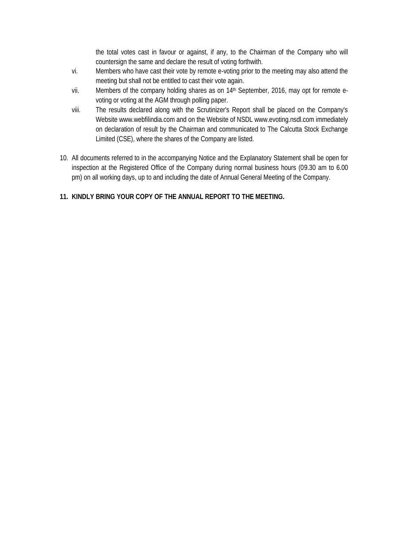the total votes cast in favour or against, if any, to the Chairman of the Company who will countersign the same and declare the result of voting forthwith.

- vi. Members who have cast their vote by remote e-voting prior to the meeting may also attend the meeting but shall not be entitled to cast their vote again.
- vii. Members of the company holding shares as on 14<sup>th</sup> September, 2016, may opt for remote evoting or voting at the AGM through polling paper.
- viii. The results declared along with the Scrutinizer's Report shall be placed on the Company's Website www.webfilindia.com and on the Website of NSDL www.evoting.nsdl.com immediately on declaration of result by the Chairman and communicated to The Calcutta Stock Exchange Limited (CSE), where the shares of the Company are listed.
- 10. All documents referred to in the accompanying Notice and the Explanatory Statement shall be open for inspection at the Registered Office of the Company during normal business hours (09.30 am to 6.00 pm) on all working days, up to and including the date of Annual General Meeting of the Company.
- **11. KINDLY BRING YOUR COPY OF THE ANNUAL REPORT TO THE MEETING.**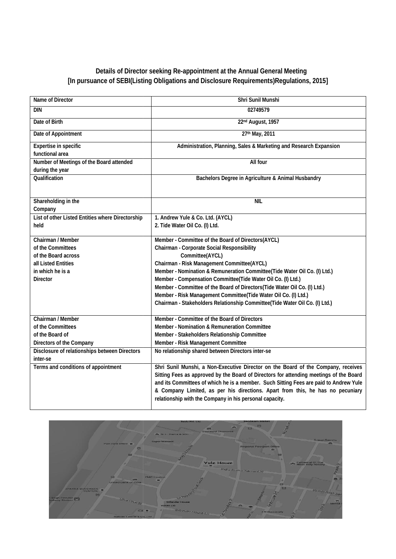# **Details of Director seeking Re-appointment at the Annual General Meeting Re-appointment[In pursuance of SEBI(Listing Obligations and Disclosure Requirements)Regulations, 2015]**

| Name of Director                                 | Shri Sunil Munshi                                                                                                                                                                                                                                                                                                                                                                                                 |
|--------------------------------------------------|-------------------------------------------------------------------------------------------------------------------------------------------------------------------------------------------------------------------------------------------------------------------------------------------------------------------------------------------------------------------------------------------------------------------|
| $\overline{D}$                                   | 02749579                                                                                                                                                                                                                                                                                                                                                                                                          |
| Date of Birth                                    | 22nd August, 1957                                                                                                                                                                                                                                                                                                                                                                                                 |
| Date of Appointment                              | 27th May, 2011                                                                                                                                                                                                                                                                                                                                                                                                    |
| Expertise in specific                            | Administration, Planning, Sales & Marketing and Research Expansion                                                                                                                                                                                                                                                                                                                                                |
| functional area                                  |                                                                                                                                                                                                                                                                                                                                                                                                                   |
| Number of Meetings of the Board attended         | All four                                                                                                                                                                                                                                                                                                                                                                                                          |
| during the year                                  |                                                                                                                                                                                                                                                                                                                                                                                                                   |
| Qualification                                    | Bachelors Degree in Agriculture & Animal Husbandry                                                                                                                                                                                                                                                                                                                                                                |
| Shareholding in the                              | <b>NIL</b>                                                                                                                                                                                                                                                                                                                                                                                                        |
| Company                                          |                                                                                                                                                                                                                                                                                                                                                                                                                   |
| List of other Listed Entities where Directorship | 1. Andrew Yule & Co. Ltd. (AYCL)                                                                                                                                                                                                                                                                                                                                                                                  |
| held                                             | 2. Tide Water Oil Co. (I) Ltd.                                                                                                                                                                                                                                                                                                                                                                                    |
| Chairman / Member                                | Member - Committee of the Board of Directors(AYCL)                                                                                                                                                                                                                                                                                                                                                                |
| of the Committees                                | Chairman - Corporate Social Responsibility                                                                                                                                                                                                                                                                                                                                                                        |
| of the Board across                              | Committee(AYCL)                                                                                                                                                                                                                                                                                                                                                                                                   |
| all Listed Entities                              | Chairman - Risk Management Committee(AYCL)                                                                                                                                                                                                                                                                                                                                                                        |
| in which he is a                                 | Member - Nomination & Remuneration Committee(Tide Water Oil Co. (I) Ltd.)                                                                                                                                                                                                                                                                                                                                         |
| <b>Director</b>                                  | Member - Compensation Committee(Tide Water Oil Co. (I) Ltd.)                                                                                                                                                                                                                                                                                                                                                      |
|                                                  | Member - Committee of the Board of Directors(Tide Water Oil Co. (I) Ltd.)                                                                                                                                                                                                                                                                                                                                         |
|                                                  | Member - Risk Management Committee(Tide Water Oil Co. (I) Ltd.)                                                                                                                                                                                                                                                                                                                                                   |
|                                                  | Chairman - Stakeholders Relationship Committee(Tide Water Oil Co. (I) Ltd.)                                                                                                                                                                                                                                                                                                                                       |
| Chairman / Member                                | Member - Committee of the Board of Directors                                                                                                                                                                                                                                                                                                                                                                      |
| of the Committees                                | Member - Nomination & Remuneration Committee                                                                                                                                                                                                                                                                                                                                                                      |
| of the Board of                                  | Member - Stakeholders Relationship Committee                                                                                                                                                                                                                                                                                                                                                                      |
| Directors of the Company                         | Member - Risk Management Committee                                                                                                                                                                                                                                                                                                                                                                                |
| Disclosure of relationships between Directors    | No relationship shared between Directors inter-se                                                                                                                                                                                                                                                                                                                                                                 |
| inter-se                                         |                                                                                                                                                                                                                                                                                                                                                                                                                   |
| Terms and conditions of appointment              | Shri Sunil Munshi, a Non-Executive Director on the Board of the Company, receives<br>Sitting Fees as approved by the Board of Directors for attending meetings of the Board<br>and its Committees of which he is a member. Such Sitting Fees are paid to Andrew Yule<br>& Company Limited, as per his directions. Apart from this, he has no pecuniary<br>relationship with the Company in his personal capacity. |

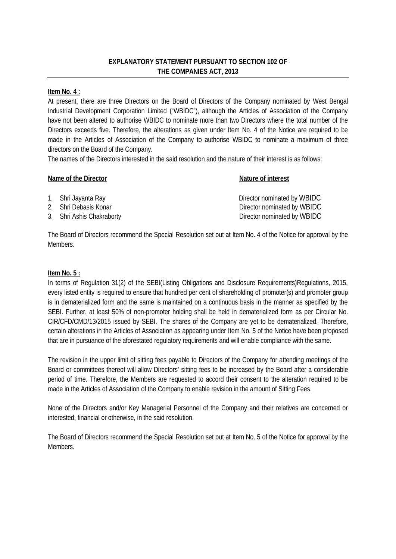# **EXPLANATORY STATEMENT PURSUANT TO SECTION 102 OF THE COMPANIES ACT, 2013**

**Item No. 4 :**

At present, there are three Directors on the Board of Directors of the Company nominated by West Bengal Industrial Development Corporation Limited ("WBIDC"), although the Articles of Association of the Company have not been altered to authorise WBIDC to nominate more than two Directors where the total number of the Directors exceeds five. Therefore, the alterations as given under Item No. 4 of the Notice are required to be made in the Articles of Association of the Company to authorise WBIDC to nominate a maximum of three directors on the Board of the Company.

The names of the Directors interested in the said resolution and the nature of their interest is as follows:

## **Name of the Director Nature of interest**

- 
- 
- 

1. Shri Jayanta Ray **Director nominated by WBIDC** 2. Shri Debasis Konar **Director nominated by WBIDC** 3. Shri Ashis Chakraborty **Director nominated by WBIDC** 

The Board of Directors recommend the Special Resolution set out at Item No. 4 of the Notice for approval by the Members.

**Item No. 5 :**

In terms of Regulation 31(2) of the SEBI(Listing Obligations and Disclosure Requirements)Regulations, 2015, every listed entity is required to ensure that hundred per cent of shareholding of promoter(s) and promoter group is in dematerialized form and the same is maintained on a continuous basis in the manner as specified by the SEBI. Further, at least 50% of non-promoter holding shall be held in dematerialized form as per Circular No. CIR/CFD/CMD/13/2015 issued by SEBI. The shares of the Company are yet to be dematerialized. Therefore, certain alterations in the Articles of Association as appearing under Item No. 5 of the Notice have been proposed that are in pursuance of the aforestated regulatory requirements and will enable compliance with the same.

The revision in the upper limit of sitting fees payable to Directors of the Company for attending meetings of the Board or committees thereof will allow Directors' sitting fees to be increased by the Board after a considerable period of time. Therefore, the Members are requested to accord their consent to the alteration required to be made in the Articles of Association of the Company to enable revision in the amount of Sitting Fees.

None of the Directors and/or Key Managerial Personnel of the Company and their relatives are concerned or interested, financial or otherwise, in the said resolution.

The Board of Directors recommend the Special Resolution set out at Item No. 5 of the Notice for approval by the Members.